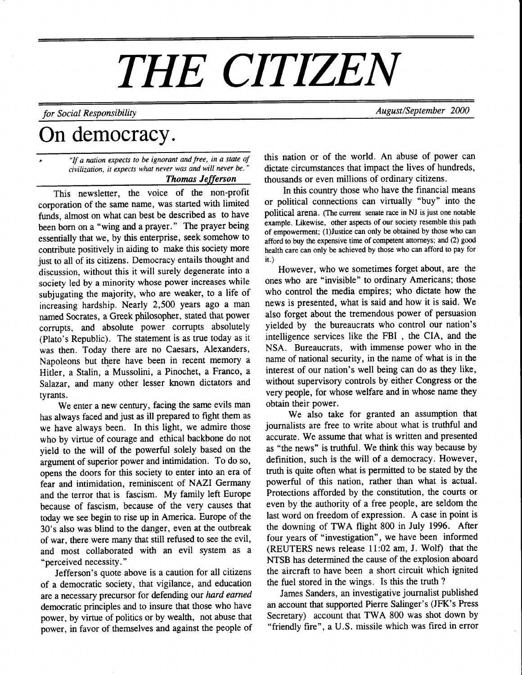# THE CITIZEN

## for Social Responsibility and the settlement of the August/September 2000

# On democracy.

"If a nation expects to be ignorant and free, in a state of civilization, it expects what never was and will never be." Thomas Jefferson

This newsletter, the voice of the non-profit corporation of the same name, was started with limited funds, almost on what can best be described as to have been born on a "wing and a prayer." The prayer being essentially that we, by this enterprise, seek somehow to contribute positively in aiding to make this society more just to all of its citizens. Democracy entails thought and discussion, without this it will surely degenerate into a society led by a minority whose power increases while subjugating the majority, who are weaker, to a life of increasing hardship. Nearly 2,500 years ago a man named Socrates, aGreek philosopher, stated that power corrupts, and absolute power corrupts absolutely (Plato's Republic). The statement is as true today as it was then. Today there are no Caesars, Alexanders, Napoleons but there have been in recent memory a Hitler, a Stalin, a Mussolini, a Pinochet, a Franco, a Salazar, and many other lesser known dictators and tyrants.

We enter a new century, facing the same evils man has always faced and just as ill prepared to fight them as we have always been. In this light, we admire those who by virtue of courage and ethical backbone do not yield to the will of the powerful solely based on the argument of superior power and intimidation. To do so, opens the doors for this society to enter into an era of fear and intimidation, reminiscent of NAZI Germany and the terror that is fascism. My family left Europe because of fascism, because of the very causes that today we see begin to rise up in America. Europe of the 30's also was blind to the danger, even at the outbreak of war, there were many that still refused to see the evil, and most collaborated with an evil system as a "perceived necessity. "

Jefferson's quote above is a caution for all citizens of a democratic society, that vigilance, and education are a necessary precursor for defending our hard earned democratic principles and to insure that those who have power, by virtue of politics or by wealth, not abuse that power, in favor of themselves and against the people of this nation or of the world. An abuse of power can dictate circumstances that impact the lives of hundreds, thousands or even millions of ordinary citizens.

In this country those who have the financial means or political connections can virtually "buy" into the political arena. (The current senate race in NJ is just one notable example. Likewise, other aspects of our society resemble this path of empowerment; (l)Justice can only be obtained by those who can afford to buy the expensive time of competent attorneys; and (2) good health care can only be achieved by those who can afford to pay for it.)

However, who we sometimes forget about, are the ones who are "invisible" to ordinary Americans; those who control the media empires; who dictate how the news is presented, what is said and how it is said. We also forget about the tremendous power of persuasion yielded by the bureaucrats who control our nation's intelligence services like the FBI , the CIA, and the NSA. Bureaucrats, with immense power who in the name of national security, in the name of what is in the interest of our nation's well being can do as they like, without supervisory controls by either Congress or the very people, for whose welfare and in whose name they obtain their power.

We also take for granted an assumption that journalists are free to write about what is truthful and accurate. We assume that what is written and presented as "the news" is truthful. We think this way because by definition, such is the will of a democracy. However, truth is quite often what is permitted to be stated by the powerful of this nation, rather than what is actual. Protections afforded by the constitution, the courts or even by the authority of a free people, are seldom the last word on freedom of expression. A case in point is the downing of TWA flight 800 in July 1996. After four years of "investigation", we have been informed (REUTERS news release II:02 am, J. Wolf) that the NTSB has determined the cause of the explosion aboard the aircraft to have been a short circuit which ignited the fuel stored in the wings. Is this the truth ?

James Sanders, an investigative journalist published an account that supported Pierre Salinger's (JFK's Press Secretary) account that TWA 800 was shot down by "friendly fire", a U.S. missile which was fired in error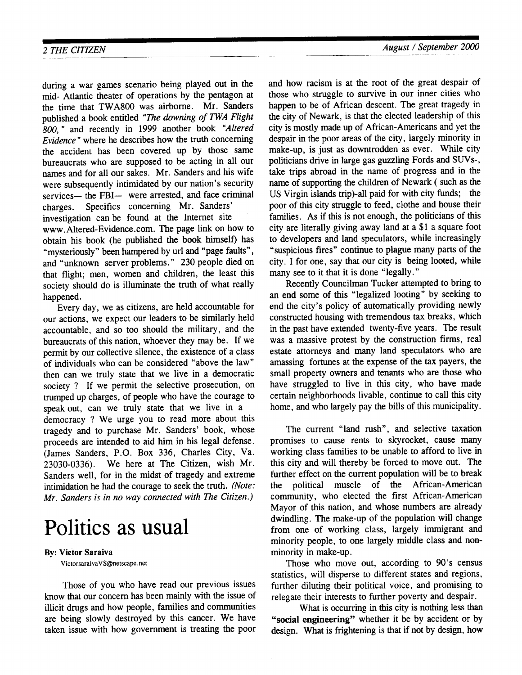during a war games scenario being played out in the mid- Atlantic theater of operations by the pentagon at the time that TWA800 was airborne. Mr. Sanders published a book entitled "The downing of TWA Flight 800," and recently in 1999 another book "Altered Evidence" where he describes how the truth concerning the accident has been covered up by those same bureaucrats who are supposed to be acting in all our names and for all our sakes. Mr. Sanders and his wife were subsequently intimidated by our nation's security services- the FBI- were arrested, and face criminal charges. Specifics concerning Mr. Sanders' investigation can be found at the Internet site www.Altered-Evidence.com. The page link on how to obtain his book (he published the book himself) has "mysteriously" been hampered by url and "page faults", and "unknown server problems." 230 people died on that flight; men, women and children, the least this society should do is illuminate the truth of what really happened.

Every day, we as citizens, are held accountable for our actions, we expect our leaders to be similarly held accountable, and so too should the military, and the bureaucrats of this nation, whoever they may be. If we permit by our collective silence, the existence of a class of individuals who can be considered "above the law" then can'we truly state that we live in a democratic society ? If we permit the selective prosecution, on trumped up charges, of people who have the courage to speak out, can we truly state that we live in a democracy ? We urge you to read more about this tragedy and to purchase Mr. Sanders' book, whose proceeds are intended to aid him in his legal defense. (James Sanders, P.O. Box 336, Charles City, Va. 23030-0336). We here at The Citizen, wish Mr. Sanders well, for in the midst of tragedy and extreme intimidation he had the courage to seek the truth. (Note: Mr. Sanders is in no way connected with The Citizen.)

# Politics as usual

#### By: Victor Saraiva

VictorsaraivaVS@netscape. net

Those of you who have read our previous issues know that our concern has been mainly with the issue of illicit drugs and how people, families and communities are being slowly destroyed by this cancer. We have taken issue with how govemment is treating the poor

and how racism is at the root of the great despair of those who struggle to survive in our inner cities who happen to be of African descent. The great tragedy in the city of Newark, is that the elected leadership of this city is mostly made up of African-Americans and yet the despair in the poor areas of the city, largely minority in make-up, is just as downtrodden as ever. While city politicians drive in large gas guzzling Fords and SUVs-, take trips abroad in the name of progress and in the name of supporting the children of Newark ( such as the US Virgin islands trip)-all paid for with city tunds; the poor of this ciry struggle to feed, clothe and house their families. As if this is not enough, the politicians of this city are literally giving away land at a \$1 a square foot to developers and land speculators, while increasingly 'suspicious fires" continue to plague many parts of the city. I for one, say that our city is being looted, while many see to it that it is done "legally."

Recently Councilman Tucker attempted to bring to an end some of this "legalized looting" by seeking to end the city's policy of automatically providing newly constructed housing with tremendous tax breaks, which in the past have extended twenty-five years. The result was a massive protest by the construction firms, real estate attorneys and many land speculators who are amassing forfimes at the expense of the tax payers, the small property owners and tenants who are those who have struggled to live in this city, who have made certain neighborhoods livable, continue to call this city home, and who largely pay the bills of this municipality.

The current "land rush", and selective taxation promises to cause rents to skyrocket, cause many working class families to be unable to afford to live in this city and will thereby be forced to move out. The further effect on the current population will be to break the political muscle of the African-American community, who elected the first African-American Mayor of this nation, and whose numbers are already dwindling. The make-up of the population will change from one of working class, largely immigrant and minority people, to one largely middle class and nonminority in make-up.

Those who move out, according to 90's census statistics, will disperse to different states and regions, further diluting their political voice, and promising to relegate their interests to further poverty and despair.

What is occurring in this city is nothing less than "social engineering" whether it be by accident or by design. What is frightening is that if not by design, how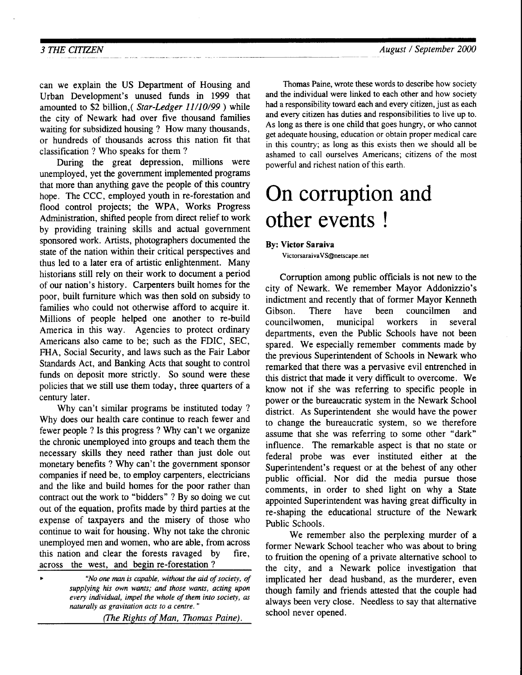can we explain the US Department of Housing and Urban Development's unused funds in 1999 that amounted to \$2 billion,( Star-Ledger 11/10/99) while the city of Newark had over five thousand families waiting for subsidized housing ? How many thousands, or hundreds of thousands across this nation fit that classification ? Who speaks for them ?

During the great depression, millions were unemployed, yet the govemment implemented programs that more than anything gave the people of this country hope. The CCC, employed youth in re-forestation and flood control projects; the WPA, Works Progress Administration, shifted people from direct relief to work by providing training skills and actual government sponsored work. Artists, photographers documented the state of the nation within their critical perspectives and thus led to a later era of artistic enlightenment. Many historians still rely on their work to document a period of our nation's history. Carpenters built homes for the poor, built furniture which was then sold on subsidy to families who could not otherwise afford to acquire it. Millions of people helped one another to re-build America in this way. Agencies to protect ordinary Americans also came to be; such as the FDIC, SEC, FHA, Social Security, and laws such as the Fair Labor Standards Act, and Banking Acts that sought to control funds on deposit more strictly. So sound were these policies that we still use them today, three quarters of a century later.

Why can't similar programs be instituted today ? Why does our health care continue to reach fewer and fewer people ? Is this progress ? Why can't we organize the chronic unemployed into groups and teach them the necessary skills they need rather than just dole out monetary benefits ? Why can't the government sponsor companies if need be, to employ carpenters, electricians and the like and build homes for the poor rather than contract out the work to "bidders" ? By so doing we cut out of the equation, profits made by third parties at the expense of taxpayers and the misery of those who continue to wait for housing. Why not take the chronic unemployed men and women, who are able, from across this nation and clear the forests ravaged by fire, across the west, and begin re-forestation ?

| $\blacktriangleright$ | "No one man is capable, without the aid of society, of     |
|-----------------------|------------------------------------------------------------|
|                       | supplying his own wants; and those wants, acting upon      |
|                       | every individual, impel the whole of them into society, as |
|                       | naturally as gravitation acts to a centre."                |
|                       |                                                            |

(fhe Rights of Man, Thomas Paine).

Thomas Paine, wrote these words to describe how society and the individual were linked to each other and how society had a responsibility toward each and every citizen, just as each and every citizen has duties and responsibilities to live up to. As long as there is one child that goes hungry, or who cannot get adequate housing, education or obtain proper medical care in this country; as long as this exists then we should all be ashamed to call ourselves Americans; citizens of the most powerful and richest nation of this earth.

# On corruption and other events !

By: Victor Saraiva

VictorsaraivaVS@netscape. net

Corruption among public officials is not new to the city of Newark. We remember Mayor Addonizzio's indictment and recently that of former Mayor Kenneth Gibson. There have been councilmen and councilwomen, municipal workers in several departments, even the Public Schools have not been spared. We especially remember comments made by the previous Superintendent of Schools in Newark who remarked that there was a pervasive evil entrenched in this district that made it very difficult to overcome. We know not if she was referring to specific people in power or the bureaucratic system in the Newark School district. As Superintendent she would have the power to change the bureaucratic system, so we therefore assume that she was referring to some other "dark" influence. The remarkable aspect is that no state or federal probe was ever instituted either at the Superintendent's request or at the behest of any other public official. Nor did the media pursue those comments, in order to shed light on why a State appointed Superintendent was having great difficulty in re-shaping the educational structure of the Newark Public Schools.

We remember also the perplexing murder of a former Newark School teacher who was about to bring to fruition the opening of a private alternative school to the city, and a Newark police investigation that implicated her dead husband, as the murderer, even though family and friends attested that the couple had always been very close. Needless to say that altemative school never opened.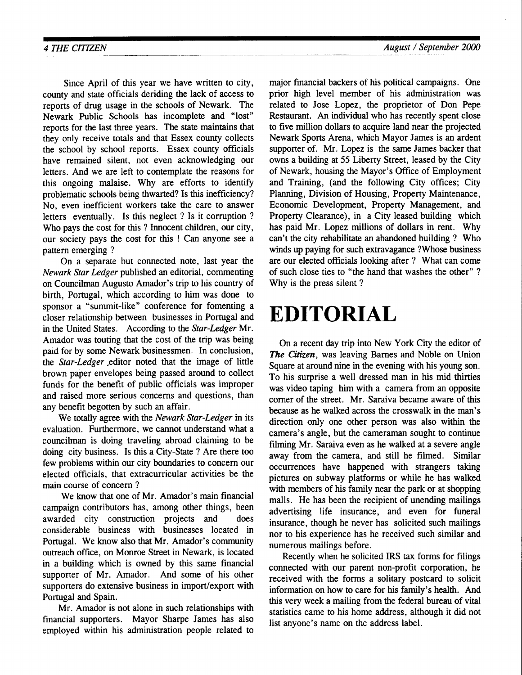Since April of this year we have written to city, county and state officials deriding the lack of access to reports of drug usage in the schools of Newark. The Newark Public Schools has incomplete and \*lost" reports for the last three years. The state maintains that they only receive totals and that Essex county collects the school by school reports. Essex county officials have remained silent, not even acknowledging our letters. And we are left to contemplate the reasons for this ongoing malaise. Why are efforts to identify problematic schools being thwarted? Is this inefficiency? No. even inefficient workers take the care to answer letters eventually. Is this neglect ? Is it corruption ? Who pays the cost for this ? Innocent children, our city, our society pays the cost for this ! Can anyone see a pattern emerging ?

On a separate but connected note, last year the Newark Star Ledger published an editorial, commenting on Councilman Augusto Amador's trip to his country of birth, Portugal, which according to him was done to sponsor a "summit-like" conference for fomenting a closer relationship between businesses in Portugal and in the United States. According to the Star-Ledger Mr. Amador was touting that the cost of the trip was being paid for by some Newark businessmen. In conclusion, the Star-Ledger editor noted that the image of little brown paper envelopes being passed around to collect funds for the benefit of public officials was improper and raised more serious concerns and questions, than any benefit begotten by such an affair.

We totally agree with the Newark Star-Ledger in its evaluation. Furthermore. we cannot understand what a councilman is doing traveling abroad claiming to be doing city business. Is this a City-State ? Are there too few problems within our city boundaries to concern our elected officials, that extracurricular activities be the main course of concern ?

We know that one of Mr. Amador's main financial campaign contributors has, among other things, been awarded city construction projects and does considerable business with businesses located in Portugal. We know also that Mr. Amador's community outreach office, on Monroe Street in Newark, is located in a building which is owned by this same financial supporter of Mr. Amador. And some of his other supporters do extensive business in import/export with Portugal and Spain.

Mr. Amador is not alone in such relationships with financial supporters. Mayor Sharpe James has also employed within his administration people related to major financial backers of his political campaigns. One prior high level member of his administration was related to Jose Lopez, the proprietor of Don Pepe Restaurant. An individual who has recently spent close to five million dollars to acquire land near the projected Newark Sports Arena, which Mayor James is an ardent supporter of. Mr. Lopez is the same James backer that owns a building at 55 Liberty Street, leased by the City of Newark, housing the Mayor's Office of Employment and Training, (and the following City offices; City Planning, Division of Housing, Property Maintenance, Economic Development, Property Management, and Property Clearance), in a City leased building which has paid Mr. Lopez millions of dollars in rent. Why can't the city rehabilitate an abandoned building ? Who winds up paying for such extravagance ?Whose business are our elected officials looking after ? What can come of such close ties to "the hand that washes the other" ? Why is the press silent ?

# EDITORIAL

On a recent day trip into New York City the editor of The Citizen, was leaving Barnes and Noble on Union Square at around nine in the evening with his young son. To his surprise a well dressed man in his mid thirties was video taping him with a camera from an opposite corner of the street. Mr. Saraiva became aware of this because as he walked across the crosswalk in the man's direction only one other person was also within the camera's angle, but the cameraman sought to continue filming Mr. Saraiva even as he walked at a severe angle away from the camera, and still he filmed. Similar occurrences have happened with strangers taking pictures on subway platforms or while he has walked with members of his family near the park or at shopping malls. He has been the recipient of unending mailings advertising life insurance, and even for funeral insurance, though he never has solicited such mailings nor to his experience has he received such similar and numerous mailings before.

Recently when he solicited IRS tax forms for filings connected with our parent non-profit corporation, he received with the forms a solitary postcard to solicit information on how to care for his family's health. And this very week a mailing from the federal bureau of vital statistics came to his home address, although it did not list anvone's name on the address label.